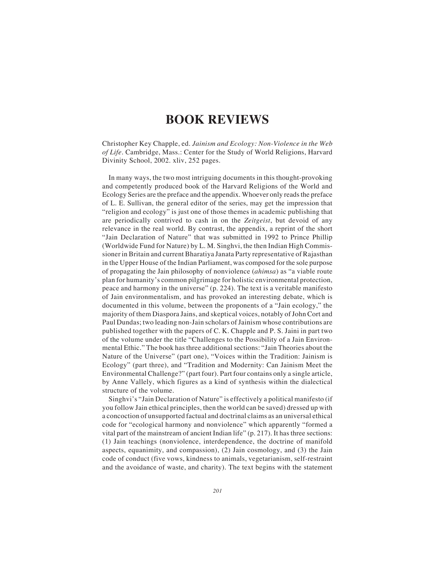## **BOOK REVIEWS**

Christopher Key Chapple, ed. *Jainism and Ecology: Non-Violence in the Web of Life*. Cambridge, Mass.: Center for the Study of World Religions, Harvard Divinity School, 2002. xliv, 252 pages.

In many ways, the two most intriguing documents in this thought-provoking and competently produced book of the Harvard Religions of the World and Ecology Series are the preface and the appendix. Whoever only reads the preface of L. E. Sullivan, the general editor of the series, may get the impression that "religion and ecology" is just one of those themes in academic publishing that are periodically contrived to cash in on the *Zeitgeist*, but devoid of any relevance in the real world. By contrast, the appendix, a reprint of the short "Jain Declaration of Nature" that was submitted in 1992 to Prince Phillip (Worldwide Fund for Nature) by L. M. Singhvi, the then Indian High Commissioner in Britain and current Bharatiya Janata Party representative of Rajasthan in the Upper House of the Indian Parliament, was composed for the sole purpose of propagating the Jain philosophy of nonviolence (*ahimsa*) as "a viable route plan for humanity's common pilgrimage for holistic environmental protection, peace and harmony in the universe" (p. 224). The text is a veritable manifesto of Jain environmentalism, and has provoked an interesting debate, which is documented in this volume, between the proponents of a "Jain ecology," the majority of them Diaspora Jains, and skeptical voices, notably of John Cort and Paul Dundas; two leading non-Jain scholars of Jainism whose contributions are published together with the papers of C. K. Chapple and P. S. Jaini in part two of the volume under the title "Challenges to the Possibility of a Jain Environmental Ethic." The book has three additional sections: "Jain Theories about the Nature of the Universe" (part one), "Voices within the Tradition: Jainism is Ecology" (part three), and "Tradition and Modernity: Can Jainism Meet the Environmental Challenge?" (part four). Part four contains only a single article, by Anne Vallely, which figures as a kind of synthesis within the dialectical structure of the volume.

Singhvi's "Jain Declaration of Nature" is effectively a political manifesto (if you follow Jain ethical principles, then the world can be saved) dressed up with a concoction of unsupported factual and doctrinal claims as an universal ethical code for "ecological harmony and nonviolence" which apparently "formed a vital part of the mainstream of ancient Indian life" (p. 217). It has three sections: (1) Jain teachings (nonviolence, interdependence, the doctrine of manifold aspects, equanimity, and compassion), (2) Jain cosmology, and (3) the Jain code of conduct (five vows, kindness to animals, vegetarianism, self-restraint and the avoidance of waste, and charity). The text begins with the statement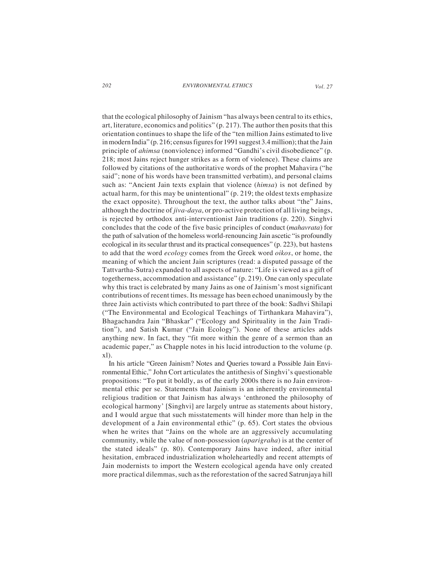*202 ENVIRONMENTAL ETHICS Vol. 27*

that the ecological philosophy of Jainism "has always been central to its ethics, art, literature, economics and politics" (p. 217). The author then posits that this orientation continues to shape the life of the "ten million Jains estimated to live in modern India" (p. 216; census figures for 1991 suggest 3.4 million); that the Jain principle of *ahimsa* (nonviolence) informed "Gandhi's civil disobedience" (p. 218; most Jains reject hunger strikes as a form of violence). These claims are followed by citations of the authoritative words of the prophet Mahavira ("he said"; none of his words have been transmitted verbatim), and personal claims such as: "Ancient Jain texts explain that violence (*himsa*) is not defined by actual harm, for this may be unintentional" (p. 219; the oldest texts emphasize the exact opposite). Throughout the text, the author talks about "the" Jains, although the doctrine of *jiva-daya*, or pro-active protection of all living beings, is rejected by orthodox anti-interventionist Jain traditions (p. 220). Singhvi concludes that the code of the five basic principles of conduct (*mahavrata*) for the path of salvation of the homeless world-renouncing Jain ascetic "is profoundly ecological in its secular thrust and its practical consequences" (p. 223), but hastens to add that the word *ecology* comes from the Greek word *oikos*, or home, the meaning of which the ancient Jain scriptures (read: a disputed passage of the Tattvartha-Sutra) expanded to all aspects of nature: "Life is viewed as a gift of togetherness, accommodation and assistance" (p. 219). One can only speculate why this tract is celebrated by many Jains as one of Jainism's most significant contributions of recent times. Its message has been echoed unanimously by the three Jain activists which contributed to part three of the book: Sadhvi Shilapi ("The Environmental and Ecological Teachings of Tirthankara Mahavira"), Bhagachandra Jain "Bhaskar" ("Ecology and Spirituality in the Jain Tradition"), and Satish Kumar ("Jain Ecology"). None of these articles adds anything new. In fact, they "fit more within the genre of a sermon than an academic paper," as Chapple notes in his lucid introduction to the volume (p. xl).

In his article "Green Jainism? Notes and Queries toward a Possible Jain Environmental Ethic," John Cort articulates the antithesis of Singhvi's questionable propositions: "To put it boldly, as of the early 2000s there is no Jain environmental ethic per se. Statements that Jainism is an inherently environmental religious tradition or that Jainism has always 'enthroned the philosophy of ecological harmony' [Singhvi] are largely untrue as statements about history, and I would argue that such misstatements will hinder more than help in the development of a Jain environmental ethic" (p. 65). Cort states the obvious when he writes that "Jains on the whole are an aggressively accumulating community, while the value of non-possession (*aparigraha*) is at the center of the stated ideals" (p. 80). Contemporary Jains have indeed, after initial hesitation, embraced industrialization wholeheartedly and recent attempts of Jain modernists to import the Western ecological agenda have only created more practical dilemmas, such as the reforestation of the sacred Satrunjaya hill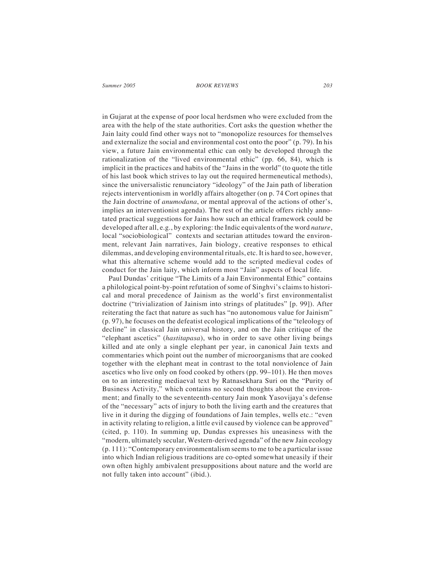## *Summer 2005 BOOK REVIEWS 203*

in Gujarat at the expense of poor local herdsmen who were excluded from the area with the help of the state authorities. Cort asks the question whether the Jain laity could find other ways not to "monopolize resources for themselves and externalize the social and environmental cost onto the poor" (p. 79). In his view, a future Jain environmental ethic can only be developed through the rationalization of the "lived environmental ethic" (pp. 66, 84), which is implicit in the practices and habits of the "Jains in the world" (to quote the title of his last book which strives to lay out the required hermeneutical methods), since the universalistic renunciatory "ideology" of the Jain path of liberation rejects interventionism in worldly affairs altogether (on p. 74 Cort opines that the Jain doctrine of *anumodana*, or mental approval of the actions of other's, implies an interventionist agenda). The rest of the article offers richly annotated practical suggestions for Jains how such an ethical framework could be developed after all, e.g., by exploring: the Indic equivalents of the word *nature*, local "sociobiological" contexts and sectarian attitudes toward the environment, relevant Jain narratives, Jain biology, creative responses to ethical dilemmas, and developing environmental rituals, etc. It is hard to see, however, what this alternative scheme would add to the scripted medieval codes of conduct for the Jain laity, which inform most "Jain" aspects of local life.

Paul Dundas' critique "The Limits of a Jain Environmental Ethic" contains a philological point-by-point refutation of some of Singhvi's claims to historical and moral precedence of Jainism as the world's first environmentalist doctrine ("trivialization of Jainism into strings of platitudes" [p. 99]). After reiterating the fact that nature as such has "no autonomous value for Jainism" (p. 97), he focuses on the defeatist ecological implications of the "teleology of decline" in classical Jain universal history, and on the Jain critique of the "elephant ascetics" (*hastitapasa*), who in order to save other living beings killed and ate only a single elephant per year, in canonical Jain texts and commentaries which point out the number of microorganisms that are cooked together with the elephant meat in contrast to the total nonviolence of Jain ascetics who live only on food cooked by others (pp. 99–101). He then moves on to an interesting mediaeval text by Ratnasekhara Suri on the "Purity of Business Activity," which contains no second thoughts about the environment; and finally to the seventeenth-century Jain monk Yasovijaya's defense of the "necessary" acts of injury to both the living earth and the creatures that live in it during the digging of foundations of Jain temples, wells etc.: "even in activity relating to religion, a little evil caused by violence can be approved" (cited, p. 110). In summing up, Dundas expresses his uneasiness with the "modern, ultimately secular, Western-derived agenda" of the new Jain ecology (p. 111): "Contemporary environmentalism seems to me to be a particular issue into which Indian religious traditions are co-opted somewhat uneasily if their own often highly ambivalent presuppositions about nature and the world are not fully taken into account" (ibid.).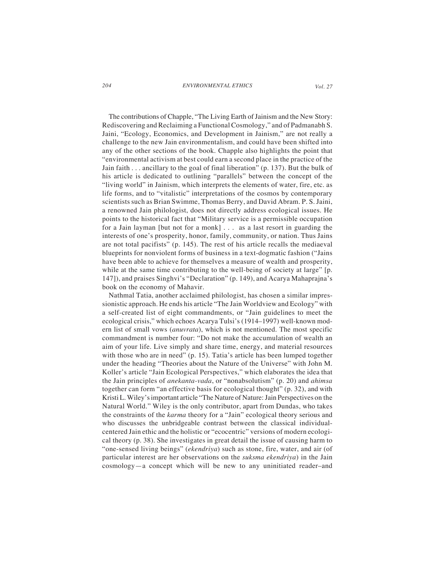## *204 ENVIRONMENTAL ETHICS Vol. 27*

The contributions of Chapple, "The Living Earth of Jainism and the New Story: Rediscovering and Reclaiming a Functional Cosmology," and of Padmanabh S. Jaini, "Ecology, Economics, and Development in Jainism," are not really a challenge to the new Jain environmentalism, and could have been shifted into any of the other sections of the book. Chapple also highlights the point that "environmental activism at best could earn a second place in the practice of the Jain faith . . . ancillary to the goal of final liberation" (p. 137). But the bulk of his article is dedicated to outlining "parallels" between the concept of the "living world" in Jainism, which interprets the elements of water, fire, etc. as life forms, and to "vitalistic" interpretations of the cosmos by contemporary scientists such as Brian Swimme, Thomas Berry, and David Abram. P. S. Jaini, a renowned Jain philologist, does not directly address ecological issues. He points to the historical fact that "Military service is a permissible occupation for a Jain layman [but not for a monk] . . . as a last resort in guarding the interests of one's prosperity, honor, family, community, or nation. Thus Jains are not total pacifists" (p. 145). The rest of his article recalls the mediaeval blueprints for nonviolent forms of business in a text-dogmatic fashion ("Jains have been able to achieve for themselves a measure of wealth and prosperity, while at the same time contributing to the well-being of society at large" [p. 147]), and praises Singhvi's "Declaration" (p. 149), and Acarya Mahaprajna's book on the economy of Mahavir*.*

Nathmal Tatia, another acclaimed philologist, has chosen a similar impressionistic approach. He ends his article "The Jain Worldview and Ecology" with a self-created list of eight commandments, or "Jain guidelines to meet the ecological crisis," which echoes Acarya Tulsi's (1914–1997) well-known modern list of small vows (*anuvrata*), which is not mentioned. The most specific commandment is number four: "Do not make the accumulation of wealth an aim of your life. Live simply and share time, energy, and material resources with those who are in need" (p. 15). Tatia's article has been lumped together under the heading "Theories about the Nature of the Universe" with John M. Koller's article "Jain Ecological Perspectives," which elaborates the idea that the Jain principles of *anekanta-vada*, or "nonabsolutism" (p. 20) and *ahimsa* together can form "an effective basis for ecological thought" (p. 32), and with Kristi L. Wiley's important article "The Nature of Nature: Jain Perspectives on the Natural World." Wiley is the only contributor, apart from Dundas, who takes the constraints of the *karma* theory for a "Jain" ecological theory serious and who discusses the unbridgeable contrast between the classical individualcentered Jain ethic and the holistic or "ecocentric" versions of modern ecological theory (p. 38). She investigates in great detail the issue of causing harm to "one-sensed living beings" (*ekendriya*) such as stone, fire, water, and air (of particular interest are her observations on the *suksma ekendriya*) in the Jain cosmology—a concept which will be new to any uninitiated reader–and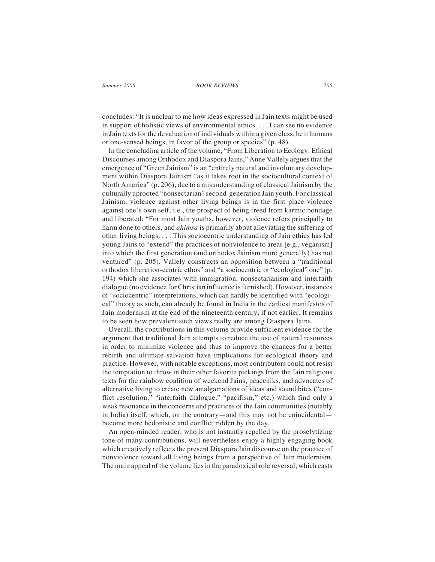concludes: "It is unclear to me how ideas expressed in Jain texts might be used in support of holistic views of environmental ethics. . . . I can see no evidence in Jain texts for the devaluation of individuals within a given class, be it humans or one-sensed beings, in favor of the group or species" (p. 48).

In the concluding article of the volume, "From Liberation to Ecology: Ethical Discourses among Orthodox and Diaspora Jains," Anne Vallely argues that the emergence of "Green Jainism" is an "entirely natural and involuntary development within Diaspora Jainism "as it takes root in the sociocultural context of North America" (p. 206), due to a misunderstanding of classical Jainism by the culturally uprooted "nonsectarian" second-generation Jain youth. For classical Jainism, violence against other living beings is in the first place violence against one's own self, i.e., the prospect of being freed from karmic bondage and liberated: "For most Jain youths, however, violence refers principally to harm done to others, and *ahimsa* is primarily about alleviating the suffering of other living beings. . . . This sociocentric understanding of Jain ethics has led young Jains to "extend" the practices of nonviolence to areas [e.g., veganism] into which the first generation (and orthodox Jainism more generally) has not ventured" (p. 205). Vallely constructs an opposition between a "traditional orthodox liberation-centric ethos" and "a sociocentric or "ecological" one" (p. 194) which she associates with immigration, nonsectarianism and interfaith dialogue (no evidence for Christian influence is furnished). However, instances of "sociocentric" interpretations, which can hardly be identified with "ecological" theory as such, can already be found in India in the earliest manifestos of Jain modernism at the end of the nineteenth century, if not earlier. It remains to be seen how prevalent such views really are among Diaspora Jains.

Overall, the contributions in this volume provide sufficient evidence for the argument that traditional Jain attempts to reduce the use of natural resources in order to minimize violence and thus to improve the chances for a better rebirth and ultimate salvation have implications for ecological theory and practice. However, with notable exceptions, most contributors could not resist the temptation to throw in their other favorite pickings from the Jain religious texts for the rainbow coalition of weekend Jains, peaceniks, and advocates of alternative living to create new amalgamations of ideas and sound bites ("conflict resolution," "interfaith dialogue," "pacifism," etc.) which find only a weak resonance in the concerns and practices of the Jain communities (notably in India) itself, which, on the contrary—and this may not be coincidental become more hedonistic and conflict ridden by the day.

An open-minded reader, who is not instantly repelled by the proselytizing tone of many contributions, will nevertheless enjoy a highly engaging book which creatively reflects the present Diaspora Jain discourse on the practice of nonviolence toward all living beings from a perspective of Jain modernism. The main appeal of the volume lies in the paradoxical role reversal, which casts